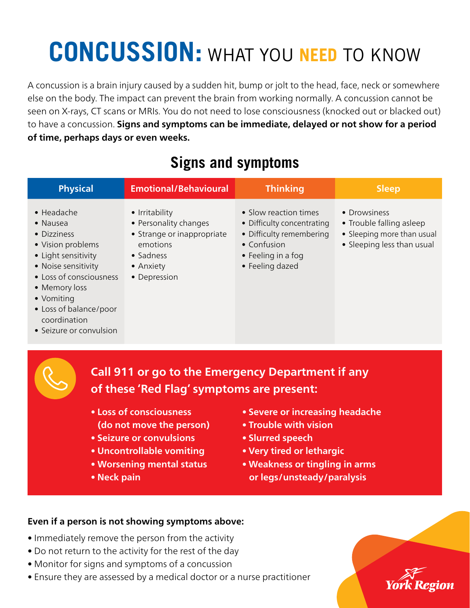# **CONCUSSION:** WHAT YOU **NEED** TO KNOW

A concussion is a brain injury caused by a sudden hit, bump or jolt to the head, face, neck or somewhere else on the body. The impact can prevent the brain from working normally. A concussion cannot be seen on X-rays, CT scans or MRIs. You do not need to lose consciousness (knocked out or blacked out) to have a concussion. **Signs and symptoms can be immediate, delayed or not show for a period of time, perhaps days or even weeks.**

| <b>Physical</b>                                                                                                                                                                                                                                         | <b>Emotional/Behavioural</b>                                                                                                | <b>Thinking</b>                                                                                                                         | <b>Sleep</b>                                                                                         |  |
|---------------------------------------------------------------------------------------------------------------------------------------------------------------------------------------------------------------------------------------------------------|-----------------------------------------------------------------------------------------------------------------------------|-----------------------------------------------------------------------------------------------------------------------------------------|------------------------------------------------------------------------------------------------------|--|
| $\bullet$ Headache<br>$\bullet$ Nausea<br>• Dizziness<br>• Vision problems<br>• Light sensitivity<br>• Noise sensitivity<br>• Loss of consciousness<br>• Memory loss<br>• Vomiting<br>• Loss of balance/poor<br>coordination<br>• Seizure or convulsion | • Irritability<br>• Personality changes<br>• Strange or inappropriate<br>emotions<br>• Sadness<br>• Anxiety<br>• Depression | • Slow reaction times<br>• Difficulty concentrating<br>• Difficulty remembering<br>• Confusion<br>• Feeling in a fog<br>• Feeling dazed | • Drowsiness<br>• Trouble falling asleep<br>• Sleeping more than usual<br>• Sleeping less than usual |  |
|                                                                                                                                                                                                                                                         | of these 'Red Flag' symptoms are present:<br>• Loss of consciousness<br>(do not move the person)                            | <b>Call 911 or go to the Emergency Department if any</b><br>• Severe or increasing headache<br>• Trouble with vision                    |                                                                                                      |  |
| • Seizure or convulsions<br>• Uncontrollable vomiting<br>• Worsening mental status<br>• Neck pain                                                                                                                                                       |                                                                                                                             | • Slurred speech<br>• Very tired or lethargic<br>• Weakness or tingling in arms<br>or legs/unsteady/paralysis                           |                                                                                                      |  |

### **Signs and symptoms**

#### **Even if a person is not showing symptoms above:**

- Immediately remove the person from the activity
- Do not return to the activity for the rest of the day
- Monitor for signs and symptoms of a concussion
- Ensure they are assessed by a medical doctor or a nurse practitioner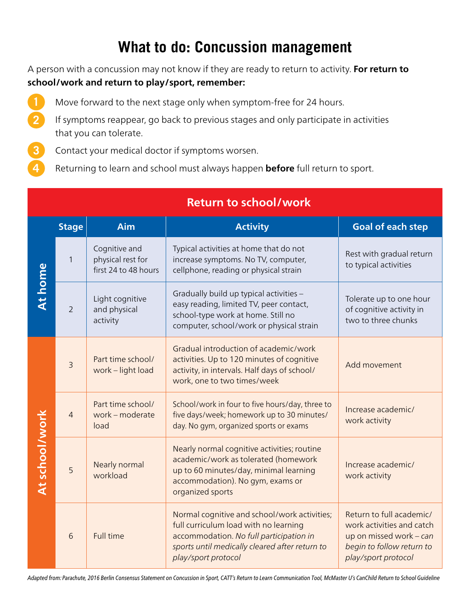### **What to do: Concussion management**

A person with a concussion may not know if they are ready to return to activity. **For return to school/work and return to play/sport, remember:**

- Move forward to the next stage only when symptom-free for 24 hours.
- If symptoms reappear, go back to previous stages and only participate in activities that you can tolerate.
- Contact your medical doctor if symptoms worsen.

**2**

**3**

**4**

Returning to learn and school must always happen **before** full return to sport.

|                       | <b>Stage</b>   | Aim                                                        | <b>Activity</b>                                                                                                                                                                                           | <b>Goal of each step</b>                                                                                                             |
|-----------------------|----------------|------------------------------------------------------------|-----------------------------------------------------------------------------------------------------------------------------------------------------------------------------------------------------------|--------------------------------------------------------------------------------------------------------------------------------------|
| <b>At home</b>        | $\mathbf{1}$   | Cognitive and<br>physical rest for<br>first 24 to 48 hours | Typical activities at home that do not<br>increase symptoms. No TV, computer,<br>cellphone, reading or physical strain                                                                                    | Rest with gradual return<br>to typical activities                                                                                    |
|                       | $\overline{2}$ | Light cognitive<br>and physical<br>activity                | Gradually build up typical activities -<br>easy reading, limited TV, peer contact,<br>school-type work at home. Still no<br>computer, school/work or physical strain                                      | Tolerate up to one hour<br>of cognitive activity in<br>two to three chunks                                                           |
| <b>At school/work</b> | $\overline{3}$ | Part time school/<br>work - light load                     | Gradual introduction of academic/work<br>activities. Up to 120 minutes of cognitive<br>activity, in intervals. Half days of school/<br>work, one to two times/week                                        | Add movement                                                                                                                         |
|                       | $\overline{4}$ | Part time school/<br>work - moderate<br>load               | School/work in four to five hours/day, three to<br>five days/week; homework up to 30 minutes/<br>day. No gym, organized sports or exams                                                                   | Increase academic/<br>work activity                                                                                                  |
|                       | 5              | Nearly normal<br>workload                                  | Nearly normal cognitive activities; routine<br>academic/work as tolerated (homework<br>up to 60 minutes/day, minimal learning<br>accommodation). No gym, exams or<br>organized sports                     | Increase academic/<br>work activity                                                                                                  |
|                       | 6              | <b>Full time</b>                                           | Normal cognitive and school/work activities;<br>full curriculum load with no learning<br>accommodation. No full participation in<br>sports until medically cleared after return to<br>play/sport protocol | Return to full academic/<br>work activities and catch<br>up on missed work - can<br>begin to follow return to<br>play/sport protocol |

#### **Return to school/work**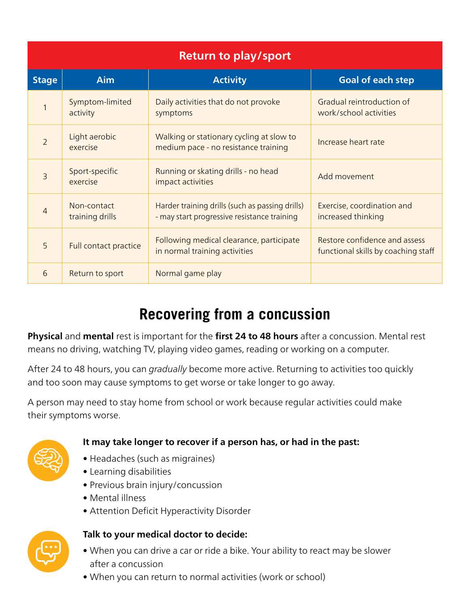| <b>Return to play/sport</b> |                                |                                                                                                |                                                                      |  |  |  |
|-----------------------------|--------------------------------|------------------------------------------------------------------------------------------------|----------------------------------------------------------------------|--|--|--|
| <b>Stage</b>                | <b>Aim</b>                     | <b>Activity</b>                                                                                | <b>Goal of each step</b>                                             |  |  |  |
|                             | Symptom-limited<br>activity    | Daily activities that do not provoke<br>symptoms                                               | Gradual reintroduction of<br>work/school activities                  |  |  |  |
| $\overline{2}$              | Light aerobic<br>exercise      | Walking or stationary cycling at slow to<br>medium pace - no resistance training               | Increase heart rate                                                  |  |  |  |
| 3                           | Sport-specific<br>exercise     | Running or skating drills - no head<br>impact activities                                       | Add movement                                                         |  |  |  |
| $\overline{4}$              | Non-contact<br>training drills | Harder training drills (such as passing drills)<br>- may start progressive resistance training | Exercise, coordination and<br>increased thinking                     |  |  |  |
| 5                           | Full contact practice          | Following medical clearance, participate<br>in normal training activities                      | Restore confidence and assess<br>functional skills by coaching staff |  |  |  |
| 6                           | Return to sport                | Normal game play                                                                               |                                                                      |  |  |  |

### **Recovering from a concussion**

**Physical** and **mental** rest is important for the **first 24 to 48 hours** after a concussion. Mental rest means no driving, watching TV, playing video games, reading or working on a computer.

After 24 to 48 hours, you can *gradually* become more active. Returning to activities too quickly and too soon may cause symptoms to get worse or take longer to go away.

A person may need to stay home from school or work because regular activities could make their symptoms worse.



#### **It may take longer to recover if a person has, or had in the past:**

- Headaches (such as migraines)
- Learning disabilities
- Previous brain injury/concussion
- Mental illness
- Attention Deficit Hyperactivity Disorder



#### **Talk to your medical doctor to decide:**

- When you can drive a car or ride a bike. Your ability to react may be slower after a concussion
- When you can return to normal activities (work or school)